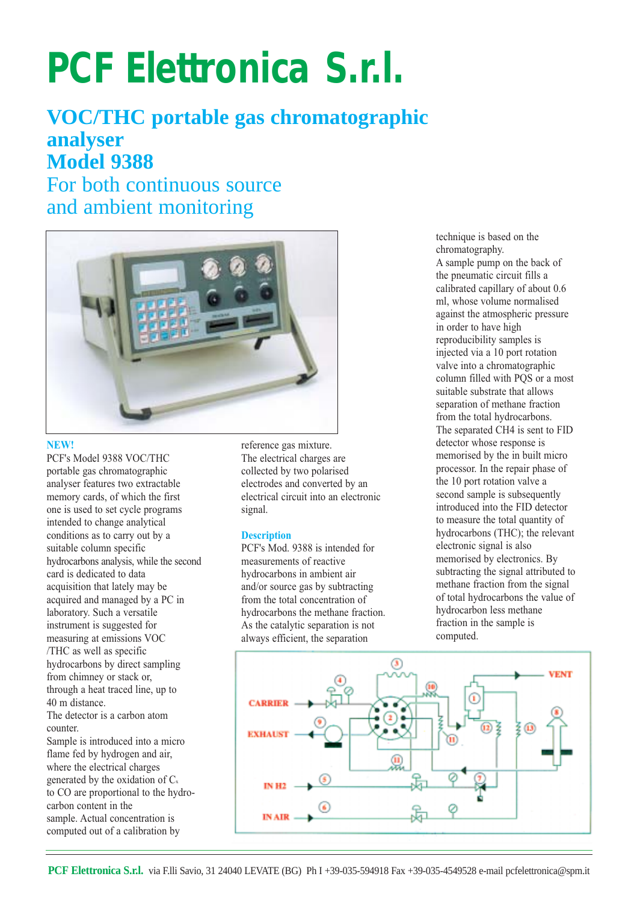# **PCF Elettronica S.r.l.**

# **VOC/THC portable gas chromatographic analyser Model 9388**

For both continuous source and ambient monitoring



#### **NEW!**

PCF's Model 9388 VOC/THC portable gas chromatographic analyser features two extractable memory cards, of which the first one is used to set cycle programs intended to change analytical conditions as to carry out by a suitable column specific hydrocarbons analysis, while the second card is dedicated to data acquisition that lately may be acquired and managed by a PC in laboratory. Such a versatile instrument is suggested for measuring at emissions VOC /THC as well as specific hydrocarbons by direct sampling from chimney or stack or, through a heat traced line, up to 40 m distance. The detector is a carbon atom counter. Sample is introduced into a micro flame fed by hydrogen and air, where the electrical charges generated by the oxidation of  $C_x$ to CO are proportional to the hydrocarbon content in the

sample. Actual concentration is computed out of a calibration by reference gas mixture. The electrical charges are collected by two polarised electrodes and converted by an electrical circuit into an electronic signal.

## **Description**

PCF's Mod. 9388 is intended for measurements of reactive hydrocarbons in ambient air and/or source gas by subtracting from the total concentration of hydrocarbons the methane fraction. As the catalytic separation is not always efficient, the separation

technique is based on the chromatography. A sample pump on the back of the pneumatic circuit fills a calibrated capillary of about 0.6 ml, whose volume normalised against the atmospheric pressure in order to have high reproducibility samples is injected via a 10 port rotation valve into a chromatographic column filled with PQS or a most suitable substrate that allows separation of methane fraction from the total hydrocarbons. The separated CH4 is sent to FID detector whose response is memorised by the in built micro processor. In the repair phase of the 10 port rotation valve a second sample is subsequently introduced into the FID detector to measure the total quantity of hydrocarbons (THC); the relevant electronic signal is also memorised by electronics. By subtracting the signal attributed to methane fraction from the signal of total hydrocarbons the value of hydrocarbon less methane fraction in the sample is computed.